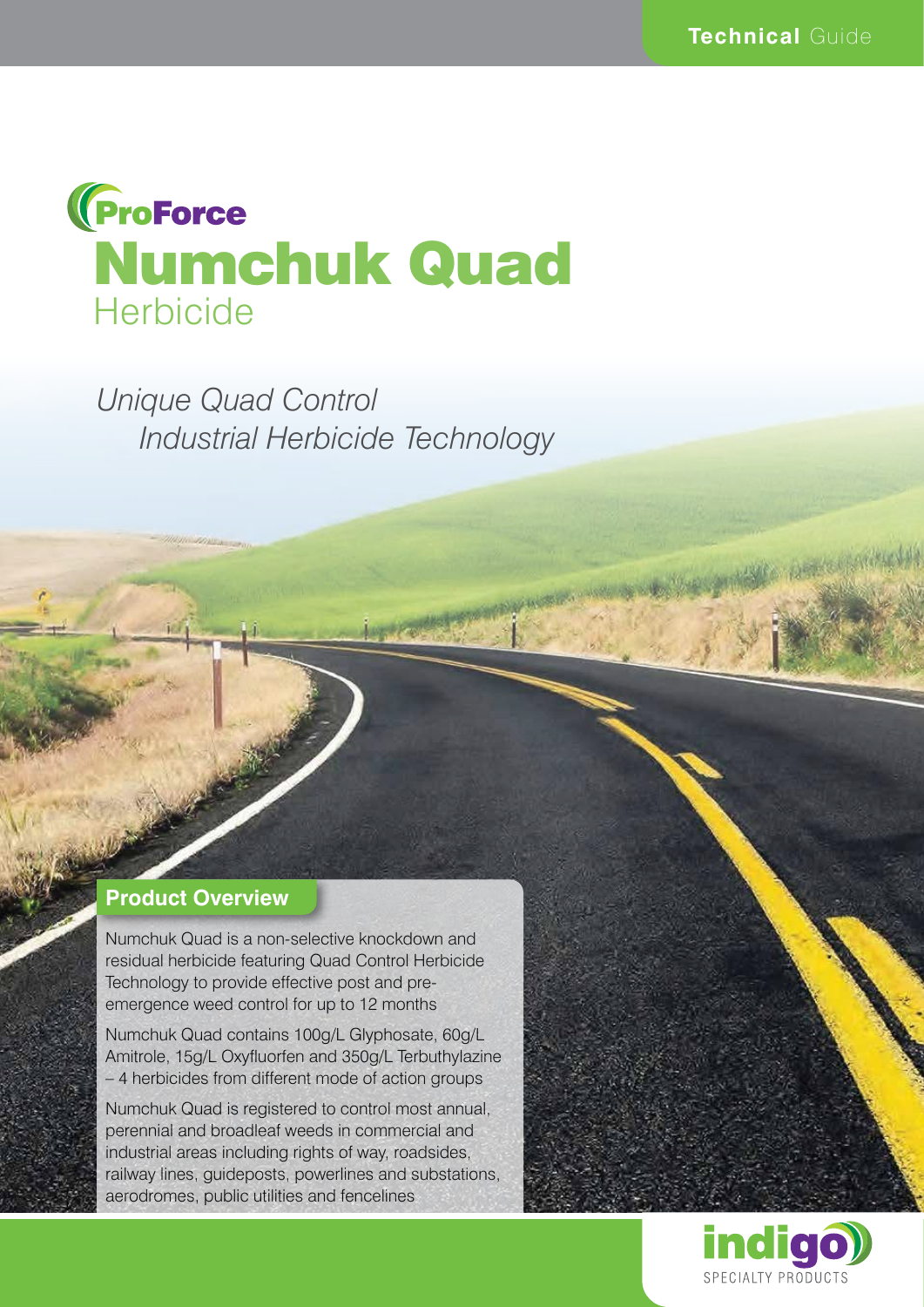

# *Unique Quad Control Industrial Herbicide Technology*

#### **Product Overview**

Numchuk Quad is a non-selective knockdown and residual herbicide featuring Quad Control Herbicide Technology to provide effective post and preemergence weed control for up to 12 months

Numchuk Quad contains 100g/L Glyphosate, 60g/L Amitrole, 15g/L Oxyfluorfen and 350g/L Terbuthylazine – 4 herbicides from different mode of action groups

Numchuk Quad is registered to control most annual, perennial and broadleaf weeds in commercial and industrial areas including rights of way, roadsides, railway lines, guideposts, powerlines and substations, aerodromes, public utilities and fencelines

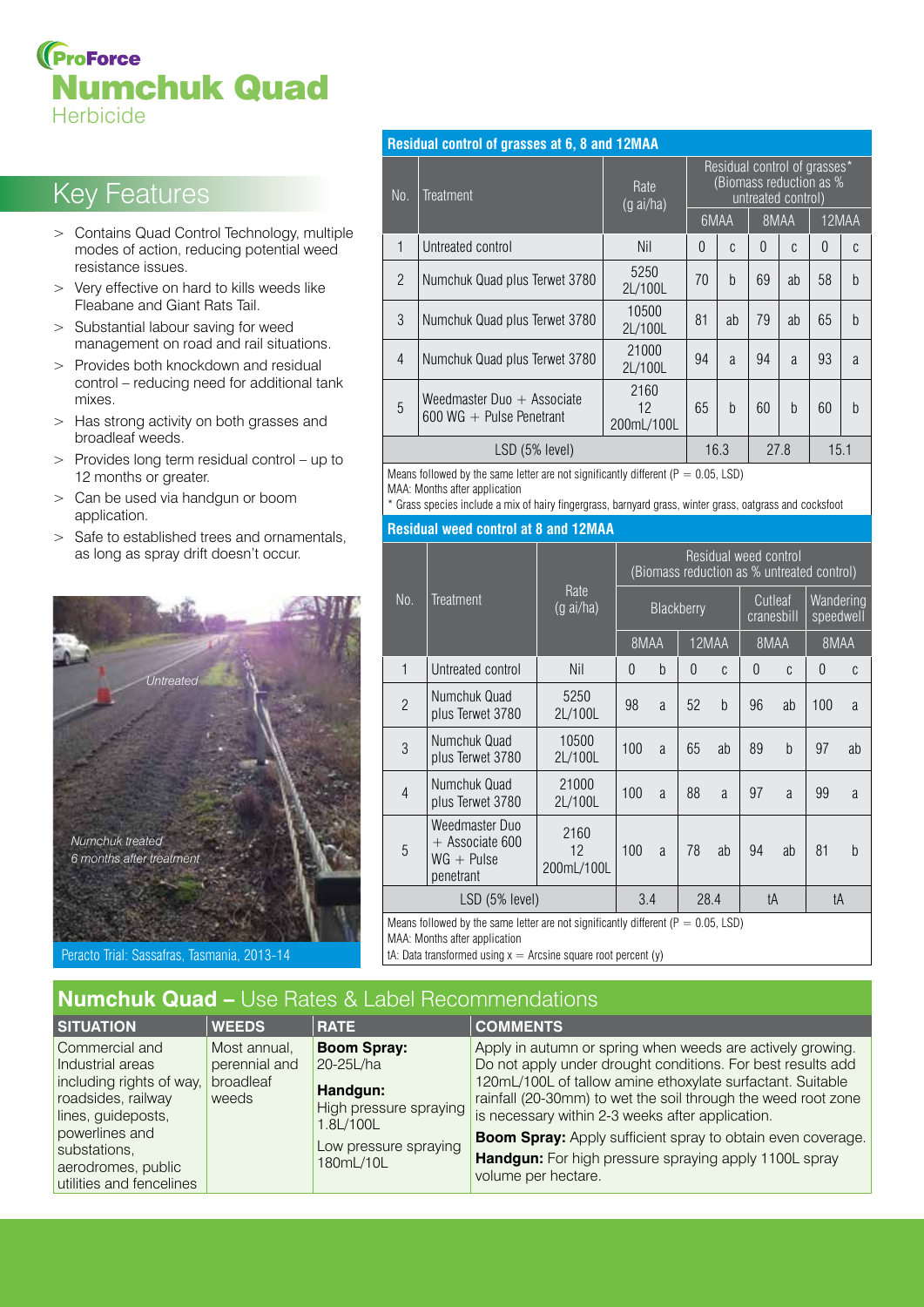## **(ProForce** Numchuk Quad **Herbicide**

## Key Features

- > Contains Quad Control Technology, multiple modes of action, reducing potential weed resistance issues.
- > Very effective on hard to kills weeds like Fleabane and Giant Rats Tail.
- > Substantial labour saving for weed management on road and rail situations.
- > Provides both knockdown and residual control – reducing need for additional tank mixes.
- > Has strong activity on both grasses and broadleaf weeds.
- > Provides long term residual control up to 12 months or greater.
- > Can be used via handgun or boom application.
- > Safe to established trees and ornamentals, as long as spray drift doesn't occur.



Peracto Trial: Sassafras, Tasmania, 2013-14

#### **Residual control of grasses at 6, 8 and 12MAA**

| No.            | Treatment                                                    | Rate<br>$(g\text{ ai/ha})$ | Residual control of grasses*<br>(Biomass reduction as %<br>untreated control) |              |          |                |          |               |  |  |
|----------------|--------------------------------------------------------------|----------------------------|-------------------------------------------------------------------------------|--------------|----------|----------------|----------|---------------|--|--|
|                |                                                              |                            | 6MAA                                                                          |              | 8MAA     |                | 12MAA    |               |  |  |
| 1              | Untreated control                                            | Nil                        | $\Omega$                                                                      | C            | $\Omega$ | C              | $\Omega$ | C             |  |  |
| $\mathfrak{p}$ | Numchuk Quad plus Terwet 3780                                | 5250<br>2L/100L            | 70                                                                            | $\mathsf{h}$ | 69       | ab             | 58       | $\mathsf{h}$  |  |  |
| 3              | Numchuk Quad plus Terwet 3780                                | 10500<br>2L/100L           | 81                                                                            | ab           | 79       | ab             | 65       | $\mathsf{h}$  |  |  |
| $\overline{4}$ | Numchuk Quad plus Terwet 3780                                | 21000<br>2L/100L           | 94                                                                            | a            | 94       | $\overline{a}$ | 93       | $\mathcal{A}$ |  |  |
| 5              | Weedmaster Duo $+$ Associate<br>$600$ WG $+$ Pulse Penetrant | 2160<br>12<br>200mL/100L   | 65                                                                            | $\mathsf{h}$ | 60       | h              | 60       | $\mathsf{h}$  |  |  |
| LSD (5% level) |                                                              |                            |                                                                               | 16.3         |          | 27.8           |          | 15.1          |  |  |

Means followed by the same letter are not significantly different ( $P = 0.05$ , LSD) MAA: Months after application

\* Grass species include a mix of hairy fingergrass, barnyard grass, winter grass, oatgrass and cocksfoot

#### **Residual weed control at 8 and 12MAA**

| No.                                                                                   | <b>Treatment</b>                                                 | Rate<br>$(g\text{ ai/ha})$ | Residual weed control<br>(Biomass reduction as % untreated control) |              |            |              |          |                       |                        |     |  |  |  |
|---------------------------------------------------------------------------------------|------------------------------------------------------------------|----------------------------|---------------------------------------------------------------------|--------------|------------|--------------|----------|-----------------------|------------------------|-----|--|--|--|
|                                                                                       |                                                                  |                            |                                                                     |              | Blackberry |              |          | Cutleaf<br>cranesbill | Wandering<br>speedwell |     |  |  |  |
|                                                                                       |                                                                  |                            | 8MAA                                                                |              | 12MAA      |              | 8MAA     |                       | 8MAA                   |     |  |  |  |
| $\mathbf{1}$                                                                          | Untreated control                                                | Nil                        | $\theta$                                                            | $\mathsf{h}$ | $\theta$   | C            | $\theta$ | C                     | $\theta$               | C   |  |  |  |
| $\overline{2}$                                                                        | Numchuk Quad<br>plus Terwet 3780                                 | 5250<br>2L/100L            | 98                                                                  | a            | 52         | $\mathsf{h}$ | 96       | ab                    | 100                    | a   |  |  |  |
| $\mathfrak{Z}$                                                                        | Numchuk Quad<br>plus Terwet 3780                                 | 10500<br>2L/100L           | 100                                                                 | a            | 65         | ab           | 89       | $\mathsf{h}$          | 97                     | ab  |  |  |  |
| $\overline{4}$                                                                        | Numchuk Quad<br>plus Terwet 3780                                 | 21000<br>2L/100L           | 100                                                                 | a            | 88         | a            | 97       | a                     | 99                     | a   |  |  |  |
| 5                                                                                     | Weedmaster Duo<br>$+$ Associate 600<br>$WG + Pulse$<br>penetrant | 2160<br>12<br>200mL/100L   | 100                                                                 | a            | 78         | ab           | 94       | ab                    | 81                     | $b$ |  |  |  |
| LSD (5% level)                                                                        |                                                                  | 3.4                        |                                                                     |              | 28.4       | tA<br>tA     |          |                       |                        |     |  |  |  |
| Means followed by the same letter are not significantly different ( $P = 0.05$ , LSD) |                                                                  |                            |                                                                     |              |            |              |          |                       |                        |     |  |  |  |

MAA: Months after application

tA: Data transformed using  $x =$  Arcsine square root percent (y)

## **Numchuk Quad –** Use Rates & Label Recommendations

| <b>SITUATION</b>                                                                                                                                                                               | <b>WEEDS</b>                                        | <b>RATE</b>                                                                                                              | <b>COMMENTS</b>                                                                                                                                                                                                                                                                                                                                                                                                                                                           |
|------------------------------------------------------------------------------------------------------------------------------------------------------------------------------------------------|-----------------------------------------------------|--------------------------------------------------------------------------------------------------------------------------|---------------------------------------------------------------------------------------------------------------------------------------------------------------------------------------------------------------------------------------------------------------------------------------------------------------------------------------------------------------------------------------------------------------------------------------------------------------------------|
| Commercial and<br>Industrial areas<br>including rights of way,<br>roadsides, railway<br>lines, guideposts,<br>powerlines and<br>substations,<br>aerodromes, public<br>utilities and fencelines | Most annual,<br>perennial and<br>broadleaf<br>weeds | <b>Boom Spray:</b><br>20-25L/ha<br>Handqun:<br>High pressure spraying<br>1.8L/100L<br>Low pressure spraying<br>180mL/10L | Apply in autumn or spring when weeds are actively growing.<br>Do not apply under drought conditions. For best results add<br>120mL/100L of tallow amine ethoxylate surfactant. Suitable<br>rainfall (20-30mm) to wet the soil through the weed root zone<br>is necessary within 2-3 weeks after application.<br><b>Boom Spray:</b> Apply sufficient spray to obtain even coverage.<br><b>Handgun:</b> For high pressure spraying apply 1100L spray<br>volume per hectare. |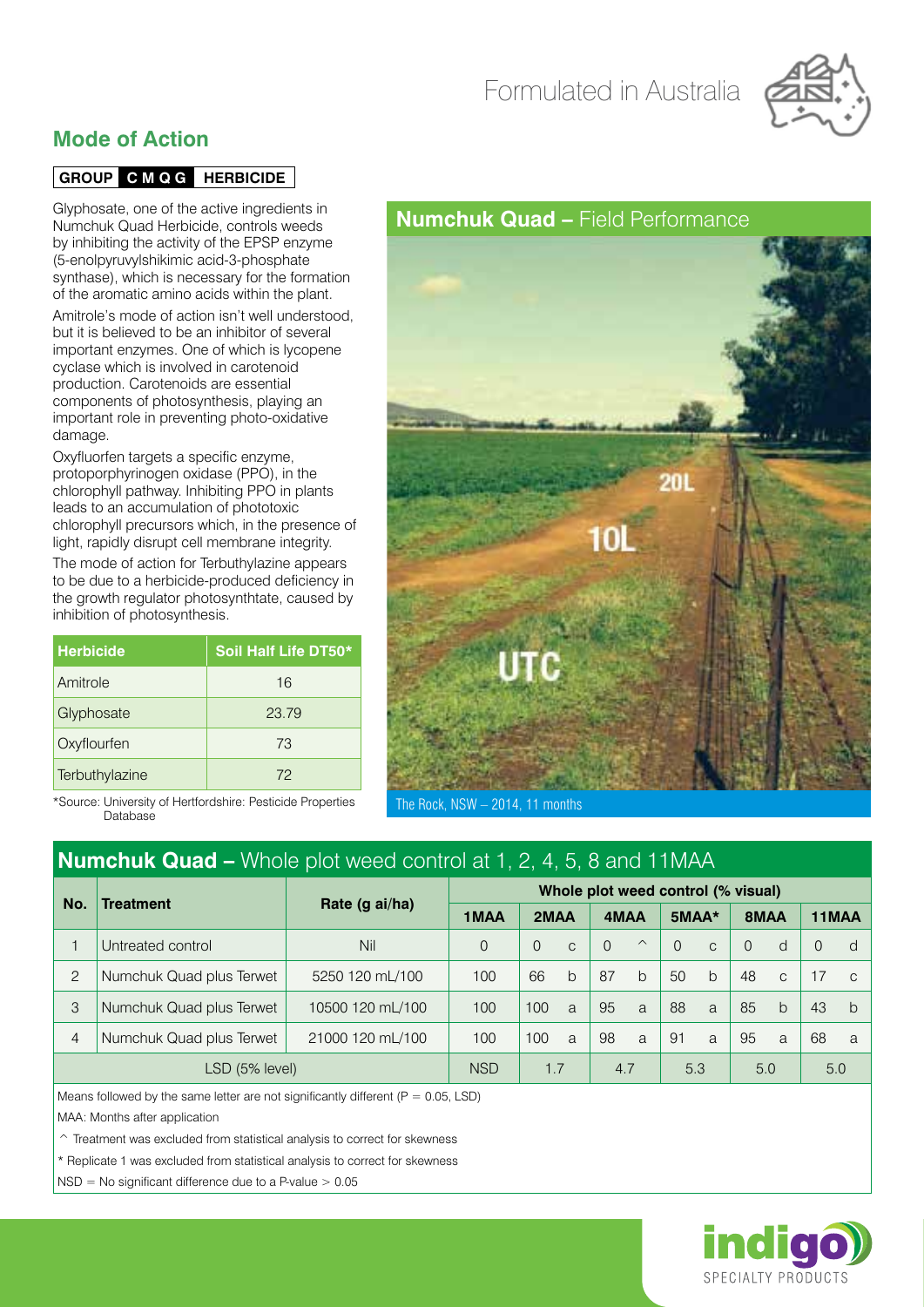## Formulated in Australia



### **Mode of Action**

#### **GROUP C M Q G HERBICIDE**

Glyphosate, one of the active ingredients in Numchuk Quad Herbicide, controls weeds by inhibiting the activity of the EPSP enzyme (5-enolpyruvylshikimic acid-3-phosphate synthase), which is necessary for the formation of the aromatic amino acids within the plant.

Amitrole's mode of action isn't well understood, but it is believed to be an inhibitor of several important enzymes. One of which is lycopene cyclase which is involved in carotenoid production. Carotenoids are essential components of photosynthesis, playing an important role in preventing photo-oxidative damage.

Oxyfluorfen targets a specific enzyme, protoporphyrinogen oxidase (PPO), in the chlorophyll pathway. Inhibiting PPO in plants leads to an accumulation of phototoxic chlorophyll precursors which, in the presence of light, rapidly disrupt cell membrane integrity.

The mode of action for Terbuthylazine appears to be due to a herbicide-produced deficiency in the growth regulator photosynthtate, caused by inhibition of photosynthesis.

| <b>Herbicide</b> | Soil Half Life DT50* |  |  |  |  |  |  |  |
|------------------|----------------------|--|--|--|--|--|--|--|
| Amitrole         | 16                   |  |  |  |  |  |  |  |
| Glyphosate       | 23.79                |  |  |  |  |  |  |  |
| Oxyflourfen      | 73                   |  |  |  |  |  |  |  |
| Terbuthylazine   | 72                   |  |  |  |  |  |  |  |

\*Source: University of Hertfordshire: Pesticide Properties

### **Numchuk Quad –** Field Performance



The Rock, NSW  $-$  2014, 11 months

### **Numchuk Quad –** Whole plot weed control at 1, 2, 4, 5, 8 and 11MAA

| No.            |                          | Rate (g ai/ha)   | Whole plot weed control (% visual) |          |               |          |                    |          |              |          |               |                |               |
|----------------|--------------------------|------------------|------------------------------------|----------|---------------|----------|--------------------|----------|--------------|----------|---------------|----------------|---------------|
|                | Treatment                |                  | 1MAA                               |          | 2MAA          |          | 4MAA               |          | $5MAA*$      |          | 8MAA          |                | 11MAA         |
|                | Untreated control        | Nil              | $\Omega$                           | $\Omega$ | $\mathcal{C}$ | $\Omega$ | $\curvearrowright$ | $\Omega$ | $\mathsf{C}$ | $\Omega$ | d             | $\overline{0}$ | d             |
| $\overline{2}$ | Numchuk Quad plus Terwet | 5250 120 mL/100  | 100                                | 66       | b             | 87       | b                  | 50       | $\mathsf{b}$ | 48       | $\mathcal{C}$ | 17             | $\mathcal{C}$ |
| 3              | Numchuk Quad plus Terwet | 10500 120 mL/100 | 100                                | 100      | a             | 95       | a                  | 88       | a            | 85       | $\mathbf b$   | 43             | b             |
| $\overline{4}$ | Numchuk Quad plus Terwet | 21000 120 mL/100 | 100                                | 100      | a             | 98       | a                  | 91       | a            | 95       | a             | 68             | a             |
| LSD (5% level) |                          | <b>NSD</b>       | 1.7                                |          | 4.7           |          | 5.3                |          | 5.0          |          | 5.0           |                |               |

Means followed by the same letter are not significantly different ( $P = 0.05$ , LSD) MAA: Months after application

 $\hat{ }$  Treatment was excluded from statistical analysis to correct for skewness

\* Replicate 1 was excluded from statistical analysis to correct for skewness

 $NSD = No$  significant difference due to a P-value  $> 0.05$